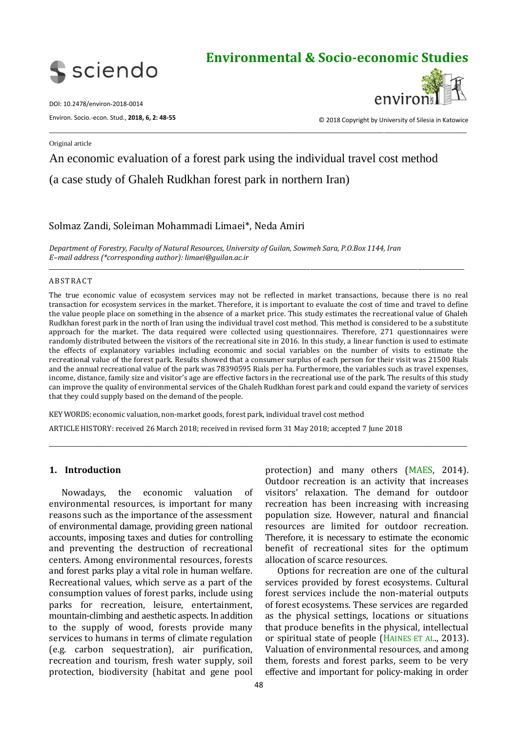

# **Environmental & Socio-economic Studies**

DOI: 10.2478/environ-2018-0014

Environ. Socio.-econ. Stud., **2018, 6, 2: 48-55**



© 2018 Copyright by University of Silesia in Katowice

Original article

## An economic evaluation of a forest park using the individual travel cost method

\_\_\_\_\_\_\_\_\_\_\_\_\_\_\_\_\_\_\_\_\_\_\_\_\_\_\_\_\_\_\_\_\_\_\_\_\_\_\_\_\_\_\_\_\_\_\_\_\_\_\_\_\_\_\_\_\_\_\_\_\_\_\_\_\_\_\_\_\_\_\_\_\_\_\_\_\_\_\_\_\_\_\_\_\_\_\_\_\_\_\_\_\_\_\_\_

(a case study of Ghaleh Rudkhan forest park in northern Iran)

## Solmaz Zandi, Soleiman Mohammadi Limaei\*, Neda Amiri

*Department of Forestry, Faculty of Natural Resources, University of Guilan, Sowmeh Sara, P.O.Box 1144, Iran E–mail address (\*corresponding author): limaei@guilan.ac.ir*

#### **ABSTRACT**

The true economic value of ecosystem services may not be reflected in market transactions, because there is no real transaction for ecosystem services in the market. Therefore, it is important to evaluate the cost of time and travel to define the value people place on something in the absence of a market price. This study estimates the recreational value of Ghaleh Rudkhan forest park in the north of Iran using the individual travel cost method. This method is considered to be a substitute approach for the market. The data required were collected using questionnaires. Therefore, 271 questionnaires were randomly distributed between the visitors of the recreational site in 2016. In this study, a linear function is used to estimate the effects of explanatory variables including economic and social variables on the number of visits to estimate the recreational value of the forest park. Results showed that a consumer surplus of each person for their visit was 21500 Rials and the annual recreational value of the park was 78390595 Rials per ha. Furthermore, the variables such as travel expenses, income, distance, family size and visitor's age are effective factors in the recreational use of the park. The results of this study can improve the quality of environmental services of the Ghaleh Rudkhan forest park and could expand the variety of services that they could supply based on the demand of the people.

\_\_\_\_\_\_\_\_\_\_\_\_\_\_\_\_\_\_\_\_\_\_\_\_\_\_\_\_\_\_\_\_\_\_\_\_\_\_\_\_\_\_\_\_\_\_\_\_\_\_\_\_\_\_\_\_\_\_\_\_\_\_\_\_\_\_\_\_\_\_\_\_\_\_\_\_\_\_\_\_\_\_\_\_\_\_\_\_\_\_\_\_\_\_\_\_\_\_\_\_\_\_\_\_\_\_\_\_\_\_\_\_\_\_\_\_\_\_\_\_\_\_\_\_\_\_\_\_\_\_\_\_\_\_\_\_\_\_\_\_\_\_\_\_

\_\_\_\_\_\_\_\_\_\_\_\_\_\_\_\_\_\_\_\_\_\_\_\_\_\_\_\_\_\_\_\_\_\_\_\_\_\_\_\_\_\_\_\_\_\_\_\_\_\_\_\_\_\_\_\_\_\_\_\_\_\_\_\_\_\_\_\_\_\_\_\_\_\_\_\_\_\_\_\_\_\_\_\_\_\_\_\_\_\_\_\_\_\_\_\_\_\_\_\_\_\_\_\_\_\_\_\_\_\_\_\_\_\_\_\_\_\_\_\_\_\_\_\_\_\_\_\_\_\_\_\_\_\_\_\_\_\_\_\_\_\_\_

KEY WORDS: economic valuation, non-market goods, forest park, individual travel cost method ARTICLE HISTORY: received 26 March 2018; received in revised form 31 May 2018; accepted 7 June 2018

## **1. Introduction**

Nowadays, the economic valuation of environmental resources, is important for many reasons such as the importance of the assessment of environmental damage, providing green national accounts, imposing taxes and duties for controlling and preventing the destruction of recreational centers. Among environmental resources, forests and forest parks play a vital role in human welfare. Recreational values, which serve as a part of the consumption values of forest parks, include using parks for recreation, leisure, entertainment, mountain-climbing and aesthetic aspects. In addition to the supply of wood, forests provide many services to humans in terms of climate regulation (e.g. carbon sequestration), air purification, recreation and tourism, fresh water supply, soil protection, biodiversity (habitat and gene pool

protection) and many others (MAES, 2014). Outdoor recreation is an activity that increases visitors' relaxation. The demand for outdoor recreation has been increasing with increasing population size. However, natural and financial resources are limited for outdoor recreation. Therefore, it is necessary to estimate the economic benefit of recreational sites for the optimum allocation of scarce resources.

Options for recreation are one of the cultural services provided by forest ecosystems. Cultural forest services include the non-material outputs of forest ecosystems. These services are regarded as the physical settings, locations or situations that produce benefits in the physical, intellectual or spiritual state of people (HAINES ET AL., 2013). Valuation of environmental resources, and among them, forests and forest parks, seem to be very effective and important for policy-making in order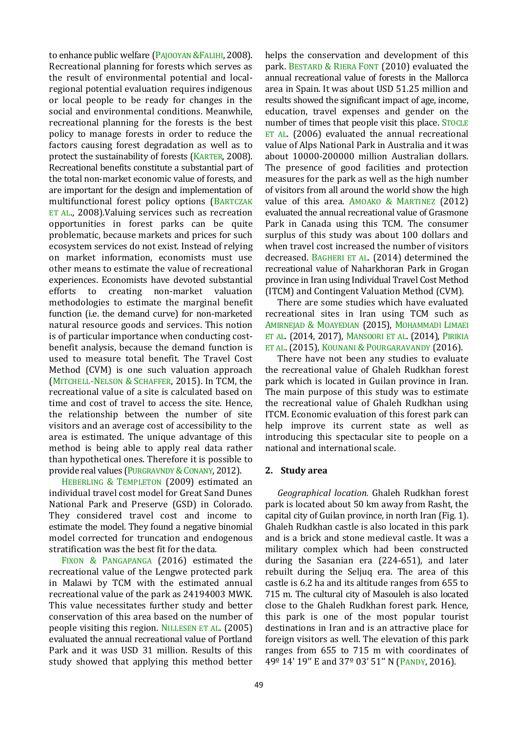to enhance public welfare (PAJOOYAN &FALIHI, 2008). Recreational planning for forests which serves as the result of environmental potential and localregional potential evaluation requires indigenous or local people to be ready for changes in the social and environmental conditions. Meanwhile, recreational planning for the forests is the best policy to manage forests in order to reduce the factors causing forest degradation as well as to protect the sustainability of forests (KARTER, 2008). Recreational benefits constitute a substantial part of the total non-market economic value of forests, and are important for the design and implementation of multifunctional forest policy options (BARTCZAK ET AL., 2008).Valuing services such as recreation opportunities in forest parks can be quite problematic, because markets and prices for such ecosystem services do not exist. Instead of relying on market information, economists must use other means to estimate the value of recreational experiences. Economists have devoted substantial efforts to creating non-market valuation methodologies to estimate the marginal benefit function (i.e. the demand curve) for non-marketed natural resource goods and services. This notion is of particular importance when conducting costbenefit analysis, because the demand function is used to measure total benefit. The Travel Cost Method (CVM) is one such valuation approach (MITCHELL-NELSON & SCHAFFER, 2015). In TCM, the recreational value of a site is calculated based on time and cost of travel to access the site. Hence, the relationship between the number of site visitors and an average cost of accessibility to the area is estimated. The unique advantage of this method is being able to apply real data rather than hypothetical ones. Therefore it is possible to provide real values (PURGRAVNDY & CONANY, 2012).

HEBERLING & TEMPLETON (2009) estimated an individual travel cost model for Great Sand Dunes National Park and Preserve (GSD) in Colorado. They considered travel cost and income to estimate the model. They found a negative binomial model corrected for truncation and endogenous stratification was the best fit for the data.

FIXON & PANGAPANGA (2016) estimated the recreational value of the Lengwe protected park in Malawi by TCM with the estimated annual recreational value of the park as 24194003 MWK. This value necessitates further study and better conservation of this area based on the number of people visiting this region. NILLESEN ET AL. (2005) evaluated the annual recreational value of Portland Park and it was USD 31 million. Results of this study showed that applying this method better helps the conservation and development of this park. BESTARD & RIERA FONT (2010) evaluated the annual recreational value of forests in the Mallorca area in Spain. It was about USD 51.25 million and results showed the significant impact of age, income, education, travel expenses and gender on the number of times that people visit this place. STOCLE ET AL. (2006) evaluated the annual recreational value of Alps National Park in Australia and it was about 10000-200000 million Australian dollars. The presence of good facilities and protection measures for the park as well as the high number of visitors from all around the world show the high value of this area. AMOAKO & MARTINEZ (2012) evaluated the annual recreational value of Grasmone Park in Canada using this TCM. The consumer surplus of this study was about 100 dollars and when travel cost increased the number of visitors decreased. BAGHERI ET AL. (2014) determined the recreational value of Naharkhoran Park in Grogan province in Iran using Individual Travel Cost Method (ITCM) and Contingent Valuation Method (CVM).

There are some studies which have evaluated recreational sites in Iran using TCM such as AMIRNEJAD & MOAYEDIAN (2015), MOHAMMADI LIMAEI ET AL. (2014, 2017), MANSOORI ET AL. (2014), PIRIKIA ET AL. (2015), KOUNANI & POURGARAVANDY (2016).

There have not been any studies to evaluate the recreational value of Ghaleh Rudkhan forest park which is located in Guilan province in Iran. The main purpose of this study was to estimate the recreational value of Ghaleh Rudkhan using ITCM. Economic evaluation of this forest park can help improve its current state as well as introducing this spectacular site to people on a national and international scale.

## **2. Study area**

*Geographical location.* Ghaleh Rudkhan forest park is located about 50 km away from Rasht, the capital city of Guilan province, in north Iran (Fig. 1). Ghaleh Rudkhan castle is also located in this park and is a brick and stone medieval castle. It was a [military](https://en.wikipedia.org/wiki/Military) complex which had been constructed during the [Sasanian](https://en.wikipedia.org/wiki/Sasanian_Empire) era (224-651), and later rebuilt during the [Seljuq](https://en.wikipedia.org/wiki/Seljuk_Turks) era. The area of this castle is 6.2 ha and its altitude ranges from 655 to 715 m. The cultural city of Masouleh is also located close to the Ghaleh Rudkhan forest park. Hence, this park is one of the most popular tourist destinations in Iran and is an attractive place for foreign visitors as well. The elevation of this park ranges from 655 to 715 m with coordinates of 49º 14' 19'' E and 37º 03' 51'' N (PANDY, 2016).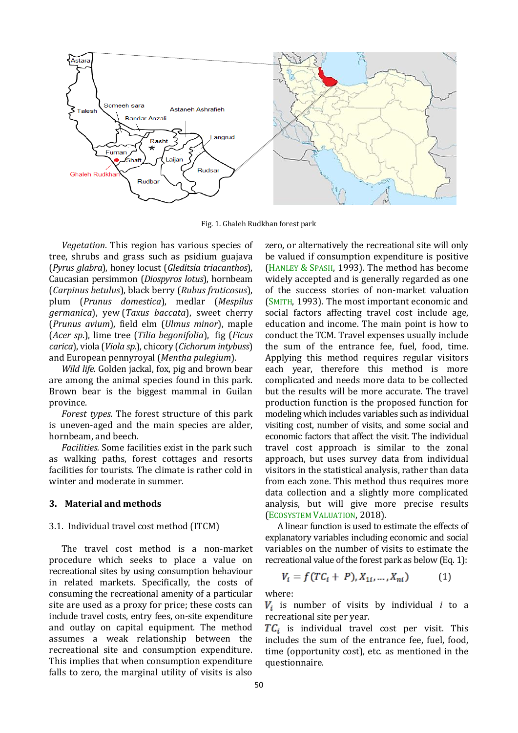

Fig. 1. Ghaleh Rudkhan forest park

*Vegetation*. This region has various species of tree, shrubs and grass such as psidium guajava (*Pyrus glabra*), honey locust (*Gleditsia triacanthos*), Caucasian persimmon (*Diospyros lotus*), hornbeam (*Carpinus betulus*), black berry (*Rubus fruticosus*), plum (*Prunus domestica*), medlar (*Mespilus germanica*), yew (*Taxus baccata*), sweet cherry (*Prunus avium*), field elm (*Ulmus minor*), maple (*Acer sp*.), lime tree (*Tilia begonifolia*), fig (*Ficus carica*), viola (*Viola sp.*), chicory (*Cichorum intybuss*) and European pennyroyal (*Mentha pulegium*).

*Wild life.* Golden jackal, fox, pig and brown bear are among the animal species found in this park. Brown bear is the biggest mammal in Guilan province.

*Forest types.* The forest structure of this park is uneven-aged and the main species are alder, hornbeam, and beech.

*Facilities.* Some facilities exist in the park such as walking paths, forest cottages and resorts facilities for tourists. The climate is rather cold in winter and moderate in summer.

#### **3. Material and methods**

#### 3.1. Individual travel cost method (ITCM)

The travel cost method is a non-market procedure which seeks to place a value on recreational sites by using consumption behaviour in related markets. Specifically, the costs of consuming the recreational amenity of a particular site are used as a proxy for price; these costs can include travel costs, entry fees, on-site expenditure and outlay on capital equipment. The method assumes a weak relationship between the recreational site and consumption expenditure. This implies that when consumption expenditure falls to zero, the marginal utility of visits is also

zero, or alternatively the recreational site will only be valued if consumption expenditure is positive (HANLEY & SPASH, 1993). The method has become widely accepted and is generally regarded as one of the success stories of non-market valuation (SMITH, 1993). The most important economic and social factors affecting travel cost include age, education and income. The main point is how to conduct the TCM. Travel expenses usually include the sum of the entrance fee, fuel, food, time. Applying this method requires regular visitors each year, therefore this method is more complicated and needs more data to be collected but the results will be more accurate. The travel production function is the proposed function for modeling which includes variables such as individual visiting cost, number of visits, and some social and economic factors that affect the visit. The individual travel cost approach is similar to the zonal approach, but uses survey data from individual visitors in the statistical analysis, rather than data from each zone. This method thus requires more data collection and a slightly more complicated analysis, but will give more precise results (ECOSYSTEM VALUATION, 2018).

A linear function is used to estimate the effects of explanatory variables including economic and social variables on the number of visits to estimate the recreational value of the forest park as below (Eq. 1):

$$
V_i = f(TC_i + P), X_{1i}, \dots, X_{ni})
$$
 (1)

where:

 $V_i$  is number of visits by individual *i* to a recreational site per year.

 $TC_i$  is individual travel cost per visit. This includes the sum of the entrance fee, fuel, food, time (opportunity cost), etc. as mentioned in the questionnaire.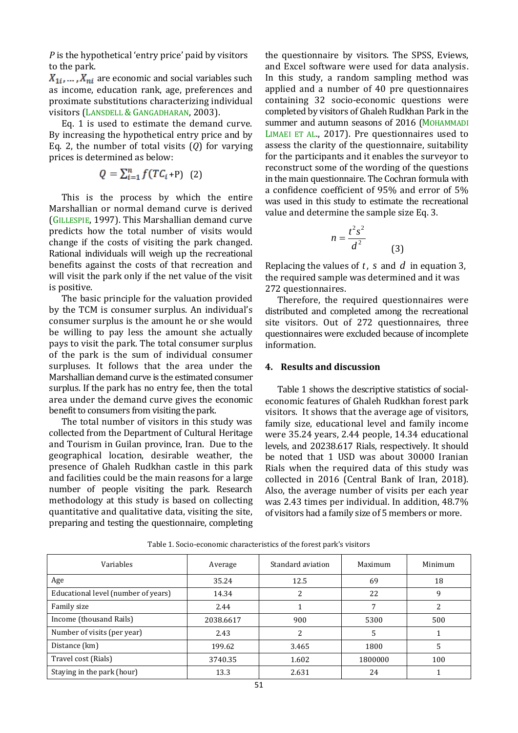*P* is the hypothetical 'entry price' paid by visitors to the park.

 $X_{1i}, \ldots, X_{ni}$  are economic and social variables such as income, education rank, age, preferences and proximate substitutions characterizing individual visitors (LANSDELL & GANGADHARAN, 2003).

Eq. 1 is used to estimate the demand curve. By increasing the hypothetical entry price and by Eq. 2, the number of total visits (*Q*) for varying prices is determined as below:

$$
Q = \sum_{i=1}^{n} f(TC_i + P) \quad (2)
$$

This is the process by which the entire Marshallian or normal demand curve is derived (GILLESPIE, 1997). This Marshallian demand curve predicts how the total number of visits would change if the costs of visiting the park changed. Rational individuals will weigh up the recreational benefits against the costs of that recreation and will visit the park only if the net value of the visit is positive.

The basic principle for the valuation provided by the TCM is consumer surplus. An individual's consumer surplus is the amount he or she would be willing to pay less the amount she actually pays to visit the park. The total consumer surplus of the park is the sum of individual consumer surpluses. It follows that the area under the Marshallian demand curve is the estimated consumer surplus. If the park has no entry fee, then the total area under the demand curve gives the economic benefit to consumers from visiting the park.

The total number of visitors in this study was collected from the Department of Cultural Heritage and Tourism in Guilan province, Iran. Due to the geographical location, desirable weather, the presence of Ghaleh Rudkhan castle in this park and facilities could be the main reasons for a large number of people visiting the park. Research methodology at this study is based on collecting quantitative and qualitative data, visiting the site, preparing and testing the questionnaire, completing the questionnaire by visitors. The SPSS, Eviews, and Excel software were used for data analysis. In this study, a random sampling method was applied and a number of 40 pre questionnaires containing 32 socio-economic questions were completed by visitors of Ghaleh Rudkhan Park in the summer and autumn seasons of 2016 (MOHAMMADI LIMAEI ET AL., 2017). Pre questionnaires used to assess the clarity of the questionnaire, suitability for the participants and it enables the surveyor to reconstruct some of the wording of the questions in the main questionnaire. The Cochran formula with a confidence coefficient of 95% and error of 5% was used in this study to estimate the recreational value and determine the sample size Eq. 3.

$$
n = \frac{t^2 s^2}{d^2}
$$

Replacing the values of  $t$ ,  $s$  and  $d$  in equation 3, the required sample was determined and it was 272 questionnaires.

(3)

Therefore, the required questionnaires were distributed and completed among the recreational site visitors. Out of 272 questionnaires, three questionnaires were excluded because of incomplete information.

#### **4. Results and discussion**

Table 1 shows the descriptive statistics of socialeconomic features of Ghaleh Rudkhan forest park visitors. It shows that the average age of visitors, family size, educational level and family income were 35.24 years, 2.44 people, 14.34 educational levels, and 20238.617 Rials, respectively. It should be noted that 1 USD was about 30000 Iranian Rials when the required data of this study was collected in 2016 (Central Bank of Iran, 2018). Also, the average number of visits per each year was 2.43 times per individual. In addition, 48.7% of visitors had a family size of 5 members or more.

| Variables                           | Average   | Standard aviation | Maximum | Minimum |
|-------------------------------------|-----------|-------------------|---------|---------|
| Age                                 | 35.24     | 12.5              | 69      | 18      |
| Educational level (number of years) | 14.34     | 2                 | 22      | q       |
| Family size                         | 2.44      |                   | 7       |         |
| Income (thousand Rails)             | 2038.6617 | 900               | 5300    | 500     |
| Number of visits (per year)         | 2.43      | 2                 | 5       |         |
| Distance (km)                       | 199.62    | 3.465             | 1800    |         |
| Travel cost (Rials)                 | 3740.35   | 1.602             | 1800000 | 100     |
| Staying in the park (hour)          | 13.3      | 2.631             | 24      |         |

Table 1. Socio-economic characteristics of the forest park's visitors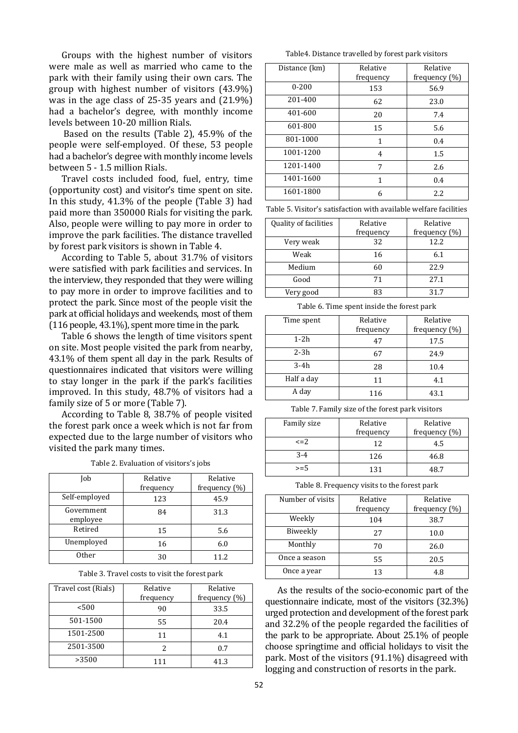Groups with the highest number of visitors were male as well as married who came to the park with their family using their own cars. The group with highest number of visitors (43.9%) was in the age class of 25-35 years and (21.9%) had a bachelor's degree, with monthly income levels between 10-20 million Rials.

Based on the results (Table 2), 45.9% of the people were self-employed. Of these, 53 people had a bachelor's degree with monthly income levels between 5 - 1.5 million Rials.

Travel costs included food, fuel, entry, time (opportunity cost) and visitor's time spent on site. In this study, 41.3% of the people (Table 3) had paid more than 350000 Rials for visiting the park. Also, people were willing to pay more in order to improve the park facilities. The distance travelled by forest park visitors is shown in Table 4.

According to Table 5, about 31.7% of visitors were satisfied with park facilities and services. In the interview, they responded that they were willing to pay more in order to improve facilities and to protect the park. Since most of the people visit the park at official holidays and weekends, most of them (116 people, 43.1%), spent more time in the park.

Table 6 shows the length of time visitors spent on site. Most people visited the park from nearby, 43.1% of them spent all day in the park. Results of questionnaires indicated that visitors were willing to stay longer in the park if the park's facilities improved. In this study, 48.7% of visitors had a family size of 5 or more (Table 7).

According to Table 8, 38.7% of people visited the forest park once a week which is not far from expected due to the large number of visitors who visited the park many times.

| Job                    | Relative<br>frequency | Relative<br>frequency (%) |
|------------------------|-----------------------|---------------------------|
| Self-employed          | 123                   | 45.9                      |
| Government<br>employee | 84                    | 31.3                      |
| Retired                | 15                    | 5.6                       |
| Unemployed             | 16                    | 6.0                       |
| Other                  | 30                    | 11.2                      |

Table 3. Travel costs to visit the forest park

| Travel cost (Rials) | Relative  | Relative         |
|---------------------|-----------|------------------|
|                     | frequency | frequency $(\%)$ |
| < 500               | 90        | 33.5             |
| 501-1500            | 55        | 20.4             |
| 1501-2500           | 11        | 4.1              |
| 2501-3500           | 2         | 0.7              |
| >3500               | 111       | 41.3             |

Table4. Distance travelled by forest park visitors

| Distance (km) | Relative  | Relative      |
|---------------|-----------|---------------|
|               | frequency | frequency (%) |
| $0 - 200$     | 153       | 56.9          |
| 201-400       | 62        | 23.0          |
| 401-600       | 20        | 7.4           |
| 601-800       | 15        | 5.6           |
| 801-1000      | 1         | 0.4           |
| 1001-1200     | 4         | 1.5           |
| 1201-1400     | 7         | 2.6           |
| 1401-1600     | 1         | 0.4           |
| 1601-1800     | 6         | 2.2           |

Table 5. Visitor's satisfaction with available welfare facilities

| Quality of facilities | Relative  | Relative      |  |
|-----------------------|-----------|---------------|--|
|                       | frequency | frequency (%) |  |
| Very weak             | 32        | 12.2          |  |
| Weak                  | 16        | 6.1           |  |
| Medium                | 60        | 22.9          |  |
| Good                  | 71        | 27.1          |  |
| Very good             | 83        | 31.7          |  |

Table 6. Time spent inside the forest park

| Time spent | Relative<br>frequency | Relative<br>frequency $(\%)$ |
|------------|-----------------------|------------------------------|
| $1-2h$     | 47                    | 17.5                         |
| $2-3h$     | 67                    | 24.9                         |
| $3-4h$     | 28                    | 10.4                         |
| Half a day | 11                    | 4.1                          |
| A day      | 116                   | 43.1                         |

Table 7. Family size of the forest park visitors

| Family size | Relative  | Relative      |  |
|-------------|-----------|---------------|--|
|             | frequency | frequency (%) |  |
| $\leq$ = 2. | 12        | 4.5           |  |
| $3 - 4$     | 126       | 46.8          |  |
| $>= 5$      | 131       | 48 7          |  |

Table 8. Frequency visits to the forest park

| Number of visits | Relative<br>frequency | Relative<br>frequency $(\%)$ |
|------------------|-----------------------|------------------------------|
| Weekly           | 104                   | 38.7                         |
| Biweekly         | 27                    | 10.0                         |
| Monthly          | 70                    | 26.0                         |
| Once a season    | 55                    | 20.5                         |
| Once a year      | 13                    | 4.8                          |

As the results of the socio-economic part of the questionnaire indicate, most of the visitors (32.3%) urged protection and development of the forest park and 32.2% of the people regarded the facilities of the park to be appropriate. About 25.1% of people choose springtime and official holidays to visit the park. Most of the visitors (91.1%) disagreed with logging and construction of resorts in the park.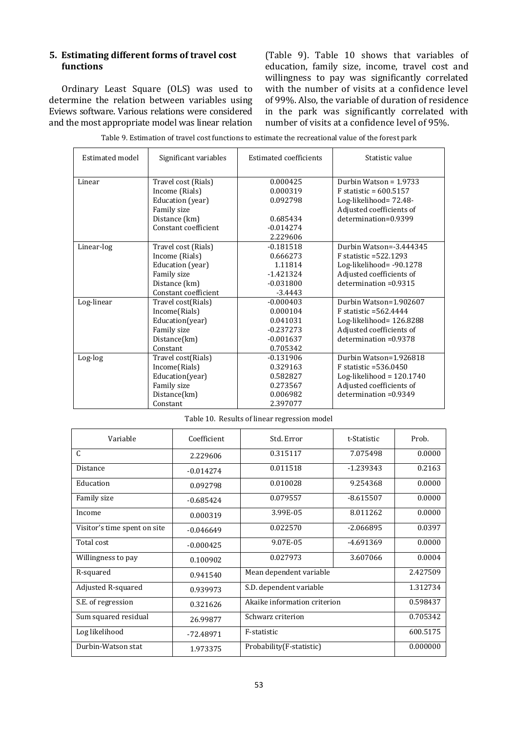## **5. Estimating different forms of travel cost functions**

Ordinary Least Square (OLS) was used to determine the relation between variables using Eviews software. Various relations were considered and the most appropriate model was linear relation (Table 9). Table 10 shows that variables of education, family size, income, travel cost and willingness to pay was significantly correlated with the number of visits at a confidence level of 99%. Also, the variable of duration of residence in the park was significantly correlated with number of visits at a confidence level of 95%.

| Estimated model | Significant variables                                                                                             | <b>Estimated coefficients</b>                                                 | Statistic value                                                                                                                           |
|-----------------|-------------------------------------------------------------------------------------------------------------------|-------------------------------------------------------------------------------|-------------------------------------------------------------------------------------------------------------------------------------------|
| Linear          | Travel cost (Rials)<br>Income (Rials)<br>Education (year)<br>Family size                                          | 0.000425<br>0.000319<br>0.092798                                              | Durbin Watson = $1.9733$<br>$F$ statistic = 600.5157<br>Log-likelihood= 72.48-<br>Adjusted coefficients of                                |
|                 | Distance (km)<br>Constant coefficient                                                                             | 0.685434<br>$-0.014274$<br>2.229606                                           | determination=0.9399                                                                                                                      |
| Linear-log      | Travel cost (Rials)<br>Income (Rials)<br>Education (year)<br>Family size<br>Distance (km)<br>Constant coefficient | $-0.181518$<br>0.666273<br>1.11814<br>$-1.421324$<br>$-0.031800$<br>$-3.4443$ | Durbin Watson=-3.444345<br>$F$ statistic = 522.1293<br>Log-likelihood= $-90.1278$<br>Adjusted coefficients of<br>$determination = 0.9315$ |
| Log-linear      | Travel cost(Rials)<br>Income(Rials)<br>Education(year)<br>Family size<br>Distance(km)<br>Constant                 | $-0.000403$<br>0.000104<br>0.041031<br>$-0.237273$<br>$-0.001637$<br>0.705342 | Durbin Watson=1.902607<br>F statistic = 562.4444<br>Log-likelihood= 126.8288<br>Adjusted coefficients of<br>$determination = 0.9378$      |
| Log-log         | Travel cost(Rials)<br>Income(Rials)<br>Education(year)<br>Family size<br>Distance(km)<br>Constant                 | $-0.131906$<br>0.329163<br>0.582827<br>0.273567<br>0.006982<br>2.397077       | Durbin Watson=1.926818<br>$F$ statistic = 536.0450<br>Log-likelihood = $120.1740$<br>Adjusted coefficients of<br>$determination = 0.9349$ |

Table 9. Estimation of travel cost functions to estimate the recreational value of the forest park

| Table 10. Results of linear regression model |  |  |
|----------------------------------------------|--|--|
|----------------------------------------------|--|--|

| Variable                     | Coefficient | Std. Error                   | t-Statistic | Prob.    |
|------------------------------|-------------|------------------------------|-------------|----------|
| $\mathcal{C}$                | 2.229606    | 0.315117                     | 7.075498    | 0.0000   |
| Distance                     | $-0.014274$ | 0.011518                     | $-1.239343$ | 0.2163   |
| Education                    | 0.092798    | 0.010028                     | 9.254368    | 0.0000   |
| Family size                  | $-0.685424$ | 0.079557                     | $-8.615507$ | 0.0000   |
| Income                       | 0.000319    | 3.99E-05                     | 8.011262    | 0.0000   |
| Visitor's time spent on site | $-0.046649$ | 0.022570                     | $-2.066895$ | 0.0397   |
| Total cost                   | $-0.000425$ | 9.07E-05                     | -4.691369   | 0.0000   |
| Willingness to pay           | 0.100902    | 0.027973                     | 3.607066    | 0.0004   |
| R-squared                    | 0.941540    | Mean dependent variable      |             | 2.427509 |
| Adjusted R-squared           | 0.939973    | S.D. dependent variable      |             | 1.312734 |
| S.E. of regression           | 0.321626    | Akaike information criterion |             | 0.598437 |
| Sum squared residual         | 26.99877    | Schwarz criterion            |             | 0.705342 |
| Log likelihood               | -72.48971   | F-statistic                  |             | 600.5175 |
| Durbin-Watson stat           | 1.973375    | Probability (F-statistic)    |             | 0.000000 |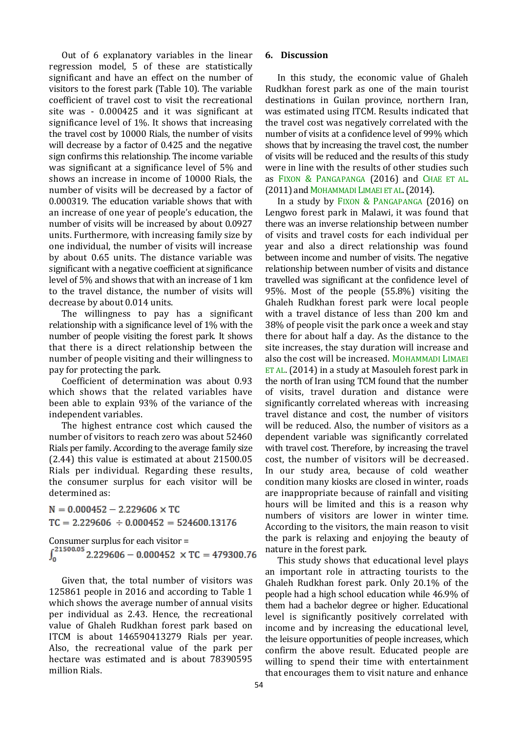Out of 6 explanatory variables in the linear regression model, 5 of these are statistically significant and have an effect on the number of visitors to the forest park (Table 10). The variable coefficient of travel cost to visit the recreational site was - 0.000425 and it was significant at significance level of 1%. It shows that increasing the travel cost by 10000 Rials, the number of visits will decrease by a factor of 0.425 and the negative sign confirms this relationship. The income variable was significant at a significance level of 5% and shows an increase in income of 10000 Rials, the number of visits will be decreased by a factor of 0.000319. The education variable shows that with an increase of one year of people's education, the number of visits will be increased by about 0.0927 units. Furthermore, with increasing family size by one individual, the number of visits will increase by about 0.65 units. The distance variable was significant with a negative coefficient at significance level of 5% and shows that with an increase of 1 km to the travel distance, the number of visits will decrease by about 0.014 units.

The willingness to pay has a significant relationship with a significance level of 1% with the number of people visiting the forest park. It shows that there is a direct relationship between the number of people visiting and their willingness to pay for protecting the park.

Coefficient of determination was about 0.93 which shows that the related variables have been able to explain 93% of the variance of the independent variables.

The highest entrance cost which caused the number of visitors to reach zero was about 52460 Rials per family. According to the average family size (2.44) this value is estimated at about 21500.05 Rials per individual. Regarding these results, the consumer surplus for each visitor will be determined as:

 $N = 0.000452 - 2.229606 \times TC$  $TC = 2.229606 \div 0.000452 = 524600.13176$ 

Consumer surplus for each visitor =<br> $\int_0^{21500.05} 2.229606 - 0.000452 \times TC = 479300.76$ 

Given that, the total number of visitors was 125861 people in 2016 and according to Table 1 which shows the average number of annual visits per individual as 2.43. Hence, the recreational value of Ghaleh Rudkhan forest park based on ITCM is about 146590413279 Rials per year. Also, the recreational value of the park per hectare was estimated and is about 78390595 million Rials.

## **6. Discussion**

In this study, the economic value of Ghaleh Rudkhan forest park as one of the main tourist destinations in Guilan province, northern Iran, was estimated using ITCM. Results indicated that the travel cost was negatively correlated with the number of visits at a confidence level of 99% which shows that by increasing the travel cost, the number of visits will be reduced and the results of this study were in line with the results of other studies such as FIXON & PANGAPANGA (2016) and CHAE ET AL. (2011) and MOHAMMADI LIMAEI ET AL.(2014).

In a study by FIXON & PANGAPANGA (2016) on Lengwo forest park in Malawi, it was found that there was an inverse relationship between number of visits and travel costs for each individual per year and also a direct relationship was found between income and number of visits. The negative relationship between number of visits and distance travelled was significant at the confidence level of 95%. Most of the people (55.8%) visiting the Ghaleh Rudkhan forest park were local people with a travel distance of less than 200 km and 38% of people visit the park once a week and stay there for about half a day. As the distance to the site increases, the stay duration will increase and also the cost will be increased. MOHAMMADI LIMAEI ET AL. (2014) in a study at Masouleh forest park in the north of Iran using TCM found that the number of visits, travel duration and distance were significantly correlated whereas with increasing travel distance and cost, the number of visitors will be reduced. Also, the number of visitors as a dependent variable was significantly correlated with travel cost. Therefore, by increasing the travel cost, the number of visitors will be decreased. In our study area, because of cold weather condition many kiosks are closed in winter, roads are inappropriate because of rainfall and visiting hours will be limited and this is a reason why numbers of visitors are lower in winter time. According to the visitors, the main reason to visit the park is relaxing and enjoying the beauty of nature in the forest park.

This study shows that educational level plays an important role in attracting tourists to the Ghaleh Rudkhan forest park. Only 20.1% of the people had a high school education while 46.9% of them had a bachelor degree or higher. Educational level is significantly positively correlated with income and by increasing the educational level, the leisure opportunities of people increases, which confirm the above result. Educated people are willing to spend their time with entertainment that encourages them to visit nature and enhance